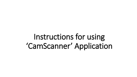Instructions for using 'CamScanner' Application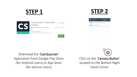## **STEP 1 STEP 2**





Download the 'CamScanner' Application from Google Play Store (for Android Users) or App Store (for Iphone Users)

Click on the 'Camera Button' located on the Bottom Right Hand Corner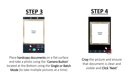





Place hardcopy documents on a flat surface and take a photo using the 'Camera Button' located at the Bottom using the Single or Batch Mode (to take multiple pictures at a time)

Crop the picture and ensure that document is clear and visible and Click 'Next'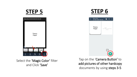

Select the 'Magic Color' filter and Click 'Save'



| New Doc<br>$\leftarrow$<br>04-08-2020 09.53 | 喦<br>$\ddot{\phantom{a}}$<br>≺             |
|---------------------------------------------|--------------------------------------------|
| <b>Theory</b><br>Paper                      | Tap $\boxed{\bigcirc}$ to add new<br>pages |
|                                             |                                            |
|                                             |                                            |
| ı<br>$\blacksquare$                         | $\overline{\mathbf{o}}$                    |

Tap on the 'Camera Button' to add pictures of other hardcopy documents by using steps 3-5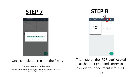

(please put the first name and second name of the candidate into the file<br>name spaced by an underscore name, spaced by an underscore )

Then, tap on the 'PDF logo' located at the top right hand corner to convert your document into a PDF file

 $\bullet$